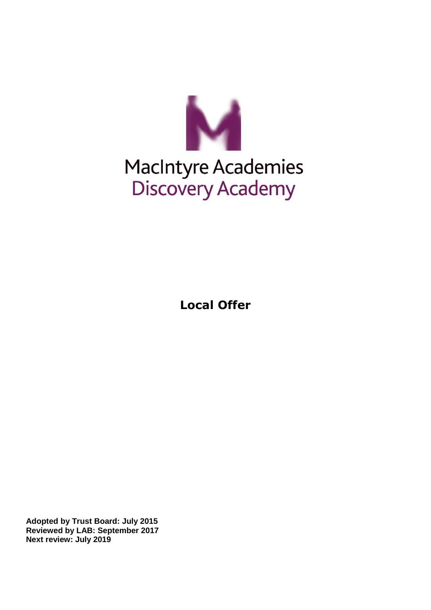

## MacIntyre Academies Discovery Academy

**Local Offer**

**Adopted by Trust Board: July 2015 Reviewed by LAB: September 2017 Next review: July 2019**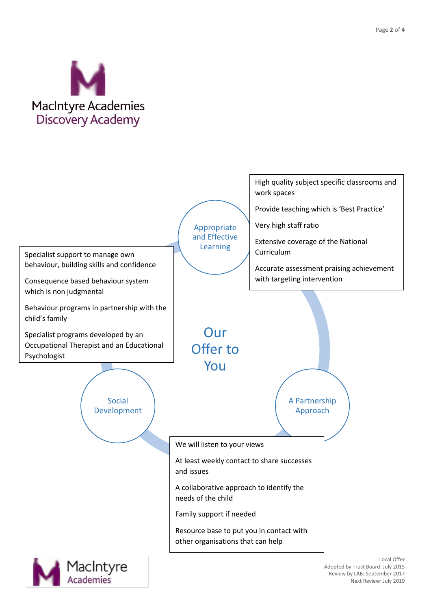

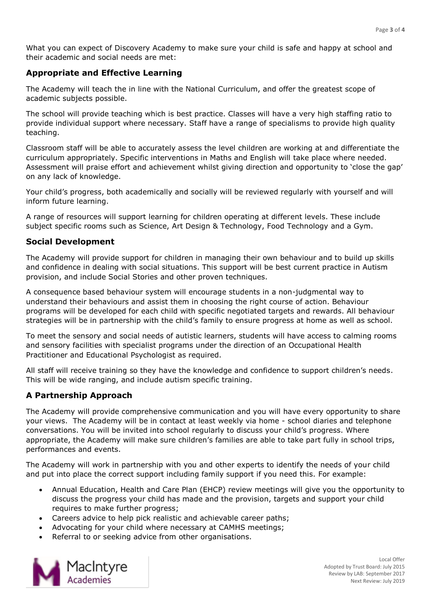What you can expect of Discovery Academy to make sure your child is safe and happy at school and their academic and social needs are met:

## **Appropriate and Effective Learning**

The Academy will teach the in line with the National Curriculum, and offer the greatest scope of academic subjects possible.

The school will provide teaching which is best practice. Classes will have a very high staffing ratio to provide individual support where necessary. Staff have a range of specialisms to provide high quality teaching.

Classroom staff will be able to accurately assess the level children are working at and differentiate the curriculum appropriately. Specific interventions in Maths and English will take place where needed. Assessment will praise effort and achievement whilst giving direction and opportunity to 'close the gap' on any lack of knowledge.

Your child's progress, both academically and socially will be reviewed regularly with yourself and will inform future learning.

A range of resources will support learning for children operating at different levels. These include subject specific rooms such as Science, Art Design & Technology, Food Technology and a Gym.

## **Social Development**

The Academy will provide support for children in managing their own behaviour and to build up skills and confidence in dealing with social situations. This support will be best current practice in Autism provision, and include Social Stories and other proven techniques.

A consequence based behaviour system will encourage students in a non-judgmental way to understand their behaviours and assist them in choosing the right course of action. Behaviour programs will be developed for each child with specific negotiated targets and rewards. All behaviour strategies will be in partnership with the child's family to ensure progress at home as well as school.

To meet the sensory and social needs of autistic learners, students will have access to calming rooms and sensory facilities with specialist programs under the direction of an Occupational Health Practitioner and Educational Psychologist as required.

All staff will receive training so they have the knowledge and confidence to support children's needs. This will be wide ranging, and include autism specific training.

## **A Partnership Approach**

The Academy will provide comprehensive communication and you will have every opportunity to share your views. The Academy will be in contact at least weekly via home - school diaries and telephone conversations. You will be invited into school regularly to discuss your child's progress. Where appropriate, the Academy will make sure children's families are able to take part fully in school trips, performances and events.

The Academy will work in partnership with you and other experts to identify the needs of your child and put into place the correct support including family support if you need this. For example:

- Annual Education, Health and Care Plan (EHCP) review meetings will give you the opportunity to discuss the progress your child has made and the provision, targets and support your child requires to make further progress;
- Careers advice to help pick realistic and achievable career paths;
- Advocating for your child where necessary at CAMHS meetings;
- Referral to or seeking advice from other organisations.